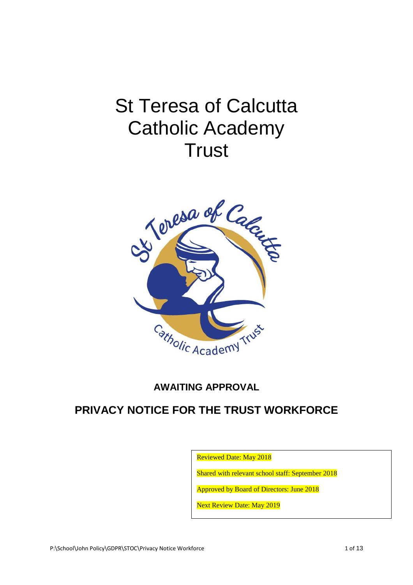# St Teresa of Calcutta Catholic Academy **Trust**



# **AWAITING APPROVAL**

# **PRIVACY NOTICE FOR THE TRUST WORKFORCE**

Reviewed Date: May 2018

Shared with relevant school staff: September 2018

Approved by Board of Directors: June 2018

Next Review Date: May 2019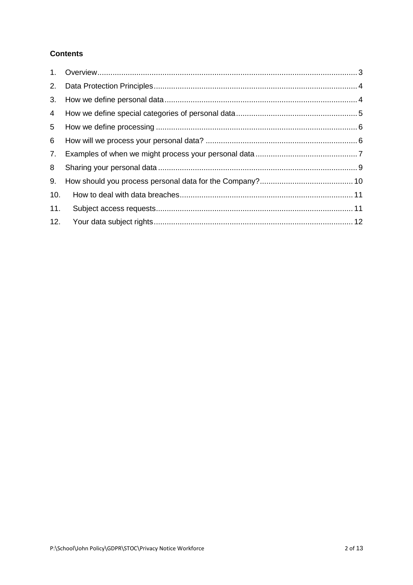# **Contents**

| 2.  |  |
|-----|--|
| 3.  |  |
| 4   |  |
| 5   |  |
| 6   |  |
| 7.  |  |
| 8   |  |
| 9.  |  |
| 10. |  |
| 11. |  |
| 12. |  |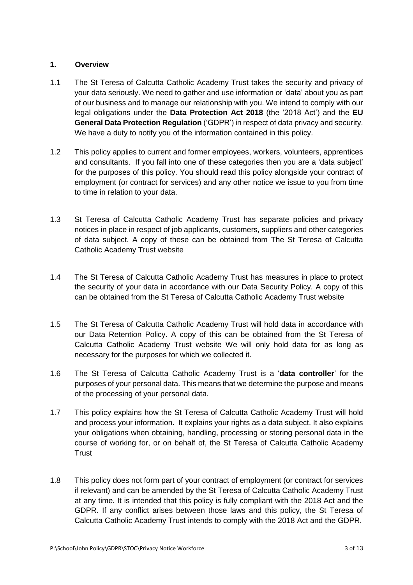#### <span id="page-2-0"></span>**1. Overview**

- 1.1 The St Teresa of Calcutta Catholic Academy Trust takes the security and privacy of your data seriously. We need to gather and use information or 'data' about you as part of our business and to manage our relationship with you. We intend to comply with our legal obligations under the **Data Protection Act 2018** (the '2018 Act') and the **EU General Data Protection Regulation** ('GDPR') in respect of data privacy and security. We have a duty to notify you of the information contained in this policy.
- 1.2 This policy applies to current and former employees, workers, volunteers, apprentices and consultants. If you fall into one of these categories then you are a 'data subject' for the purposes of this policy. You should read this policy alongside your contract of employment (or contract for services) and any other notice we issue to you from time to time in relation to your data.
- 1.3 St Teresa of Calcutta Catholic Academy Trust has separate policies and privacy notices in place in respect of job applicants, customers, suppliers and other categories of data subject. A copy of these can be obtained from The St Teresa of Calcutta Catholic Academy Trust website
- 1.4 The St Teresa of Calcutta Catholic Academy Trust has measures in place to protect the security of your data in accordance with our Data Security Policy. A copy of this can be obtained from the St Teresa of Calcutta Catholic Academy Trust website
- 1.5 The St Teresa of Calcutta Catholic Academy Trust will hold data in accordance with our Data Retention Policy. A copy of this can be obtained from the St Teresa of Calcutta Catholic Academy Trust website We will only hold data for as long as necessary for the purposes for which we collected it.
- 1.6 The St Teresa of Calcutta Catholic Academy Trust is a '**data controller**' for the purposes of your personal data. This means that we determine the purpose and means of the processing of your personal data.
- 1.7 This policy explains how the St Teresa of Calcutta Catholic Academy Trust will hold and process your information. It explains your rights as a data subject. It also explains your obligations when obtaining, handling, processing or storing personal data in the course of working for, or on behalf of, the St Teresa of Calcutta Catholic Academy **Trust**
- 1.8 This policy does not form part of your contract of employment (or contract for services if relevant) and can be amended by the St Teresa of Calcutta Catholic Academy Trust at any time. It is intended that this policy is fully compliant with the 2018 Act and the GDPR. If any conflict arises between those laws and this policy, the St Teresa of Calcutta Catholic Academy Trust intends to comply with the 2018 Act and the GDPR.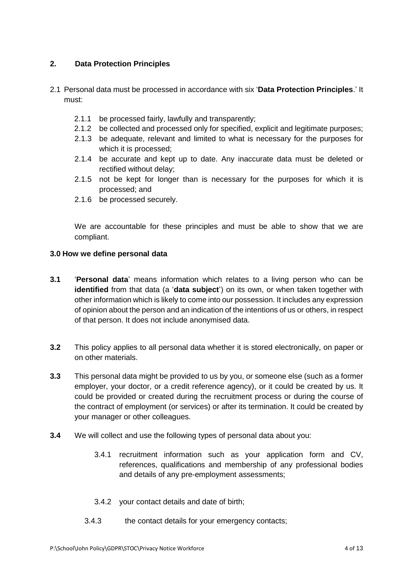## <span id="page-3-0"></span>**2. Data Protection Principles**

- 2.1 Personal data must be processed in accordance with six '**Data Protection Principles**.' It must:
	- 2.1.1 be processed fairly, lawfully and transparently;
	- 2.1.2 be collected and processed only for specified, explicit and legitimate purposes;
	- 2.1.3 be adequate, relevant and limited to what is necessary for the purposes for which it is processed;
	- 2.1.4 be accurate and kept up to date. Any inaccurate data must be deleted or rectified without delay;
	- 2.1.5 not be kept for longer than is necessary for the purposes for which it is processed; and
	- 2.1.6 be processed securely.

We are accountable for these principles and must be able to show that we are compliant.

#### <span id="page-3-1"></span>**3.0 How we define personal data**

- **3.1** '**Personal data**' means information which relates to a living person who can be **identified** from that data (a '**data subject**') on its own, or when taken together with other information which is likely to come into our possession. It includes any expression of opinion about the person and an indication of the intentions of us or others, in respect of that person. It does not include anonymised data.
- **3.2** This policy applies to all personal data whether it is stored electronically, on paper or on other materials.
- **3.3** This personal data might be provided to us by you, or someone else (such as a former employer, your doctor, or a credit reference agency), or it could be created by us. It could be provided or created during the recruitment process or during the course of the contract of employment (or services) or after its termination. It could be created by your manager or other colleagues.
- **3.4** We will collect and use the following types of personal data about you:
	- 3.4.1 recruitment information such as your application form and CV, references, qualifications and membership of any professional bodies and details of any pre-employment assessments;
	- 3.4.2 your contact details and date of birth;
	- 3.4.3 the contact details for your emergency contacts;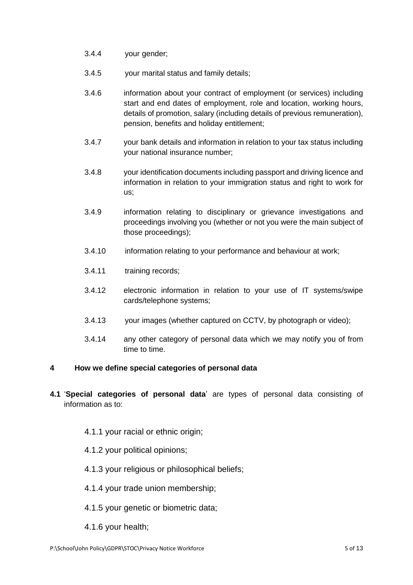- 3.4.4 your gender;
- 3.4.5 your marital status and family details;
- 3.4.6 information about your contract of employment (or services) including start and end dates of employment, role and location, working hours, details of promotion, salary (including details of previous remuneration), pension, benefits and holiday entitlement;
- 3.4.7 your bank details and information in relation to your tax status including your national insurance number;
- 3.4.8 your identification documents including passport and driving licence and information in relation to your immigration status and right to work for us;
- 3.4.9 information relating to disciplinary or grievance investigations and proceedings involving you (whether or not you were the main subject of those proceedings);
- 3.4.10 information relating to your performance and behaviour at work;
- 3.4.11 training records;
- 3.4.12 electronic information in relation to your use of IT systems/swipe cards/telephone systems;
- 3.4.13 your images (whether captured on CCTV, by photograph or video);
- 3.4.14 any other category of personal data which we may notify you of from time to time.

#### <span id="page-4-0"></span>**4 How we define special categories of personal data**

- **4.1** '**Special categories of personal data**' are types of personal data consisting of information as to:
	- 4.1.1 your racial or ethnic origin;
	- 4.1.2 your political opinions;
	- 4.1.3 your religious or philosophical beliefs;
	- 4.1.4 your trade union membership;
	- 4.1.5 your genetic or biometric data;
	- 4.1.6 your health;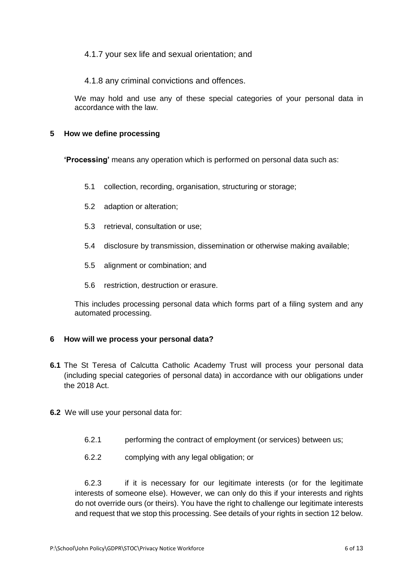#### 4.1.7 your sex life and sexual orientation; and

#### 4.1.8 any criminal convictions and offences.

We may hold and use any of these special categories of your personal data in accordance with the law.

#### <span id="page-5-0"></span>**5 How we define processing**

**'Processing'** means any operation which is performed on personal data such as:

- 5.1 collection, recording, organisation, structuring or storage;
- 5.2 adaption or alteration;
- 5.3 retrieval, consultation or use;
- 5.4 disclosure by transmission, dissemination or otherwise making available;
- 5.5 alignment or combination; and
- 5.6 restriction, destruction or erasure.

This includes processing personal data which forms part of a filing system and any automated processing.

#### <span id="page-5-1"></span>**6 How will we process your personal data?**

- **6.1** The St Teresa of Calcutta Catholic Academy Trust will process your personal data (including special categories of personal data) in accordance with our obligations under the 2018 Act.
- **6.2** We will use your personal data for:
	- 6.2.1 performing the contract of employment (or services) between us;
	- 6.2.2 complying with any legal obligation; or

6.2.3 if it is necessary for our legitimate interests (or for the legitimate interests of someone else). However, we can only do this if your interests and rights do not override ours (or theirs). You have the right to challenge our legitimate interests and request that we stop this processing. See details of your rights in section 12 below.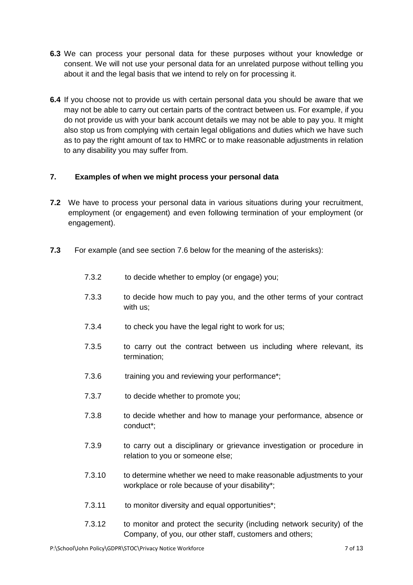- **6.3** We can process your personal data for these purposes without your knowledge or consent. We will not use your personal data for an unrelated purpose without telling you about it and the legal basis that we intend to rely on for processing it.
- **6.4** If you choose not to provide us with certain personal data you should be aware that we may not be able to carry out certain parts of the contract between us. For example, if you do not provide us with your bank account details we may not be able to pay you. It might also stop us from complying with certain legal obligations and duties which we have such as to pay the right amount of tax to HMRC or to make reasonable adjustments in relation to any disability you may suffer from.

## <span id="page-6-0"></span>**7. Examples of when we might process your personal data**

- **7.2** We have to process your personal data in various situations during your recruitment, employment (or engagement) and even following termination of your employment (or engagement).
- **7.3** For example (and see section 7.6 below for the meaning of the asterisks):
	- 7.3.2 to decide whether to employ (or engage) you;
	- 7.3.3 to decide how much to pay you, and the other terms of your contract with us;
	- 7.3.4 to check you have the legal right to work for us;
	- 7.3.5 to carry out the contract between us including where relevant, its termination;
	- 7.3.6 training you and reviewing your performance\*;
	- 7.3.7 to decide whether to promote you;
	- 7.3.8 to decide whether and how to manage your performance, absence or conduct\*;
	- 7.3.9 to carry out a disciplinary or grievance investigation or procedure in relation to you or someone else;
	- 7.3.10 to determine whether we need to make reasonable adjustments to your workplace or role because of your disability\*;
	- 7.3.11 to monitor diversity and equal opportunities\*;
	- 7.3.12 to monitor and protect the security (including network security) of the Company, of you, our other staff, customers and others;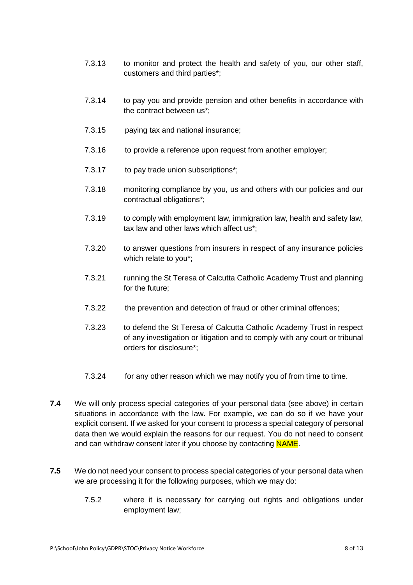- 7.3.13 to monitor and protect the health and safety of you, our other staff, customers and third parties\*;
- 7.3.14 to pay you and provide pension and other benefits in accordance with the contract between us\*;
- 7.3.15 paying tax and national insurance;
- 7.3.16 to provide a reference upon request from another employer;
- 7.3.17 to pay trade union subscriptions\*;
- 7.3.18 monitoring compliance by you, us and others with our policies and our contractual obligations\*;
- 7.3.19 to comply with employment law, immigration law, health and safety law, tax law and other laws which affect us\*;
- 7.3.20 to answer questions from insurers in respect of any insurance policies which relate to you\*;
- 7.3.21 running the St Teresa of Calcutta Catholic Academy Trust and planning for the future;
- 7.3.22 the prevention and detection of fraud or other criminal offences;
- 7.3.23 to defend the St Teresa of Calcutta Catholic Academy Trust in respect of any investigation or litigation and to comply with any court or tribunal orders for disclosure\*;
- 7.3.24 for any other reason which we may notify you of from time to time.
- **7.4** We will only process special categories of your personal data (see above) in certain situations in accordance with the law. For example, we can do so if we have your explicit consent. If we asked for your consent to process a special category of personal data then we would explain the reasons for our request. You do not need to consent and can withdraw consent later if you choose by contacting NAME.
- **7.5** We do not need your consent to process special categories of your personal data when we are processing it for the following purposes, which we may do:
	- 7.5.2 where it is necessary for carrying out rights and obligations under employment law;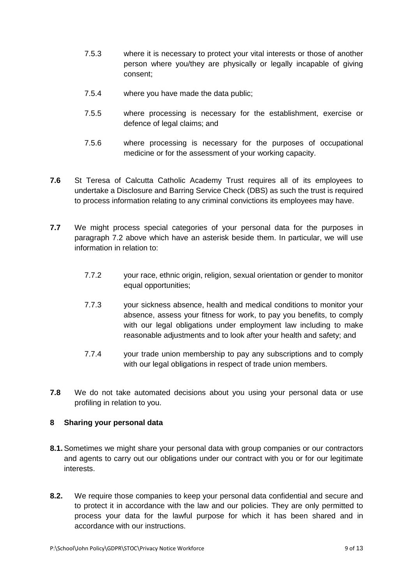- 7.5.3 where it is necessary to protect your vital interests or those of another person where you/they are physically or legally incapable of giving consent;
- 7.5.4 where you have made the data public;
- 7.5.5 where processing is necessary for the establishment, exercise or defence of legal claims; and
- 7.5.6 where processing is necessary for the purposes of occupational medicine or for the assessment of your working capacity.
- **7.6** St Teresa of Calcutta Catholic Academy Trust requires all of its employees to undertake a Disclosure and Barring Service Check (DBS) as such the trust is required to process information relating to any criminal convictions its employees may have.
- **7.7** We might process special categories of your personal data for the purposes in paragraph 7.2 above which have an asterisk beside them. In particular, we will use information in relation to:
	- 7.7.2 your race, ethnic origin, religion, sexual orientation or gender to monitor equal opportunities;
	- 7.7.3 your sickness absence, health and medical conditions to monitor your absence, assess your fitness for work, to pay you benefits, to comply with our legal obligations under employment law including to make reasonable adjustments and to look after your health and safety; and
	- 7.7.4 your trade union membership to pay any subscriptions and to comply with our legal obligations in respect of trade union members.
- **7.8** We do not take automated decisions about you using your personal data or use profiling in relation to you.

#### <span id="page-8-0"></span>**8 Sharing your personal data**

- **8.1.** Sometimes we might share your personal data with group companies or our contractors and agents to carry out our obligations under our contract with you or for our legitimate interests.
- **8.2.** We require those companies to keep your personal data confidential and secure and to protect it in accordance with the law and our policies. They are only permitted to process your data for the lawful purpose for which it has been shared and in accordance with our instructions.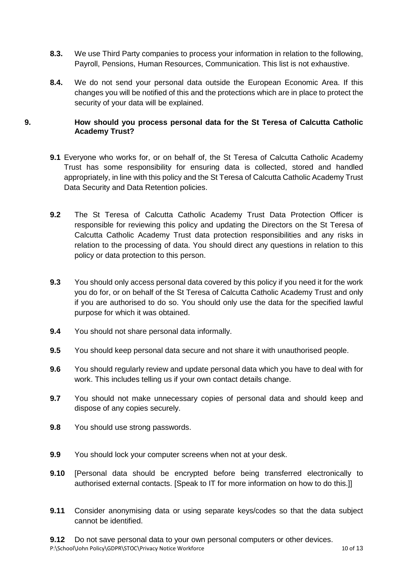- **8.3.** We use Third Party companies to process your information in relation to the following, Payroll, Pensions, Human Resources, Communication. This list is not exhaustive.
- **8.4.** We do not send your personal data outside the European Economic Area. If this changes you will be notified of this and the protections which are in place to protect the security of your data will be explained.

#### <span id="page-9-0"></span>**9. How should you process personal data for the St Teresa of Calcutta Catholic Academy Trust?**

- **9.1** Everyone who works for, or on behalf of, the St Teresa of Calcutta Catholic Academy Trust has some responsibility for ensuring data is collected, stored and handled appropriately, in line with this policy and the St Teresa of Calcutta Catholic Academy Trust Data Security and Data Retention policies.
- **9.2** The St Teresa of Calcutta Catholic Academy Trust Data Protection Officer is responsible for reviewing this policy and updating the Directors on the St Teresa of Calcutta Catholic Academy Trust data protection responsibilities and any risks in relation to the processing of data. You should direct any questions in relation to this policy or data protection to this person.
- **9.3** You should only access personal data covered by this policy if you need it for the work you do for, or on behalf of the St Teresa of Calcutta Catholic Academy Trust and only if you are authorised to do so. You should only use the data for the specified lawful purpose for which it was obtained.
- **9.4** You should not share personal data informally.
- **9.5** You should keep personal data secure and not share it with unauthorised people.
- **9.6** You should regularly review and update personal data which you have to deal with for work. This includes telling us if your own contact details change.
- **9.7** You should not make unnecessary copies of personal data and should keep and dispose of any copies securely.
- **9.8** You should use strong passwords.
- **9.9** You should lock your computer screens when not at your desk.
- **9.10** [Personal data should be encrypted before being transferred electronically to authorised external contacts. [Speak to IT for more information on how to do this.]]
- **9.11** Consider anonymising data or using separate keys/codes so that the data subject cannot be identified.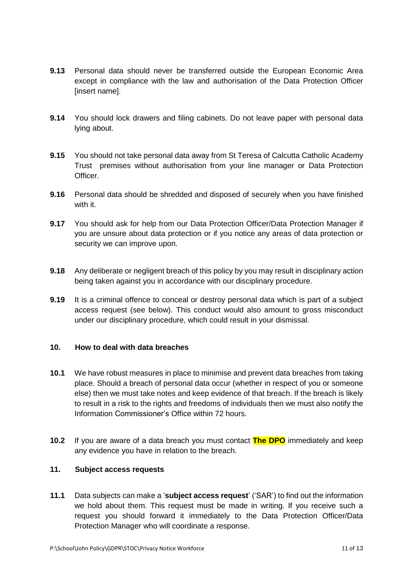- **9.13** Personal data should never be transferred outside the European Economic Area except in compliance with the law and authorisation of the Data Protection Officer [insert name].
- **9.14** You should lock drawers and filing cabinets. Do not leave paper with personal data lying about.
- **9.15** You should not take personal data away from St Teresa of Calcutta Catholic Academy Trust premises without authorisation from your line manager or Data Protection Officer.
- **9.16** Personal data should be shredded and disposed of securely when you have finished with it.
- **9.17** You should ask for help from our Data Protection Officer/Data Protection Manager if you are unsure about data protection or if you notice any areas of data protection or security we can improve upon.
- **9.18** Any deliberate or negligent breach of this policy by you may result in disciplinary action being taken against you in accordance with our disciplinary procedure.
- **9.19** It is a criminal offence to conceal or destroy personal data which is part of a subject access request (see below). This conduct would also amount to gross misconduct under our disciplinary procedure, which could result in your dismissal.

# <span id="page-10-0"></span>**10. How to deal with data breaches**

- **10.1** We have robust measures in place to minimise and prevent data breaches from taking place. Should a breach of personal data occur (whether in respect of you or someone else) then we must take notes and keep evidence of that breach. If the breach is likely to result in a risk to the rights and freedoms of individuals then we must also notify the Information Commissioner's Office within 72 hours.
- **10.2** If you are aware of a data breach you must contact **The DPO** immediately and keep any evidence you have in relation to the breach.

## <span id="page-10-1"></span>**11. Subject access requests**

**11.1** Data subjects can make a '**subject access request**' ('SAR') to find out the information we hold about them. This request must be made in writing. If you receive such a request you should forward it immediately to the Data Protection Officer/Data Protection Manager who will coordinate a response.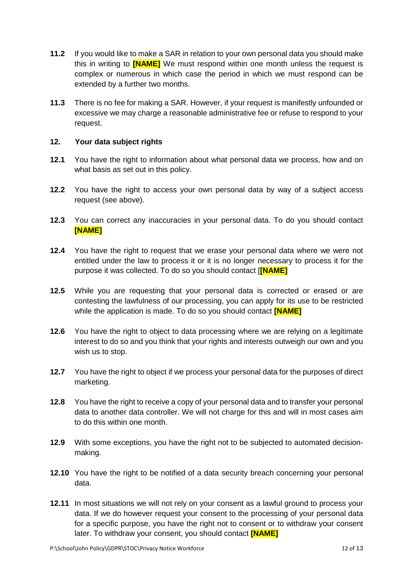- **11.2** If you would like to make a SAR in relation to your own personal data you should make this in writing to **[NAME]** We must respond within one month unless the request is complex or numerous in which case the period in which we must respond can be extended by a further two months.
- **11.3** There is no fee for making a SAR. However, if your request is manifestly unfounded or excessive we may charge a reasonable administrative fee or refuse to respond to your request.

#### <span id="page-11-0"></span>**12. Your data subject rights**

- **12.1** You have the right to information about what personal data we process, how and on what basis as set out in this policy.
- **12.2** You have the right to access your own personal data by way of a subject access request (see above).
- **12.3** You can correct any inaccuracies in your personal data. To do you should contact **[NAME]**
- **12.4** You have the right to request that we erase your personal data where we were not entitled under the law to process it or it is no longer necessary to process it for the purpose it was collected. To do so you should contact [**[NAME]**
- **12.5** While you are requesting that your personal data is corrected or erased or are contesting the lawfulness of our processing, you can apply for its use to be restricted while the application is made. To do so you should contact **[NAME]**
- **12.6** You have the right to object to data processing where we are relying on a legitimate interest to do so and you think that your rights and interests outweigh our own and you wish us to stop.
- **12.7** You have the right to object if we process your personal data for the purposes of direct marketing.
- **12.8** You have the right to receive a copy of your personal data and to transfer your personal data to another data controller. We will not charge for this and will in most cases aim to do this within one month.
- **12.9** With some exceptions, you have the right not to be subjected to automated decisionmaking.
- **12.10** You have the right to be notified of a data security breach concerning your personal data.
- **12.11** In most situations we will not rely on your consent as a lawful ground to process your data. If we do however request your consent to the processing of your personal data for a specific purpose, you have the right not to consent or to withdraw your consent later. To withdraw your consent, you should contact **[NAME]**